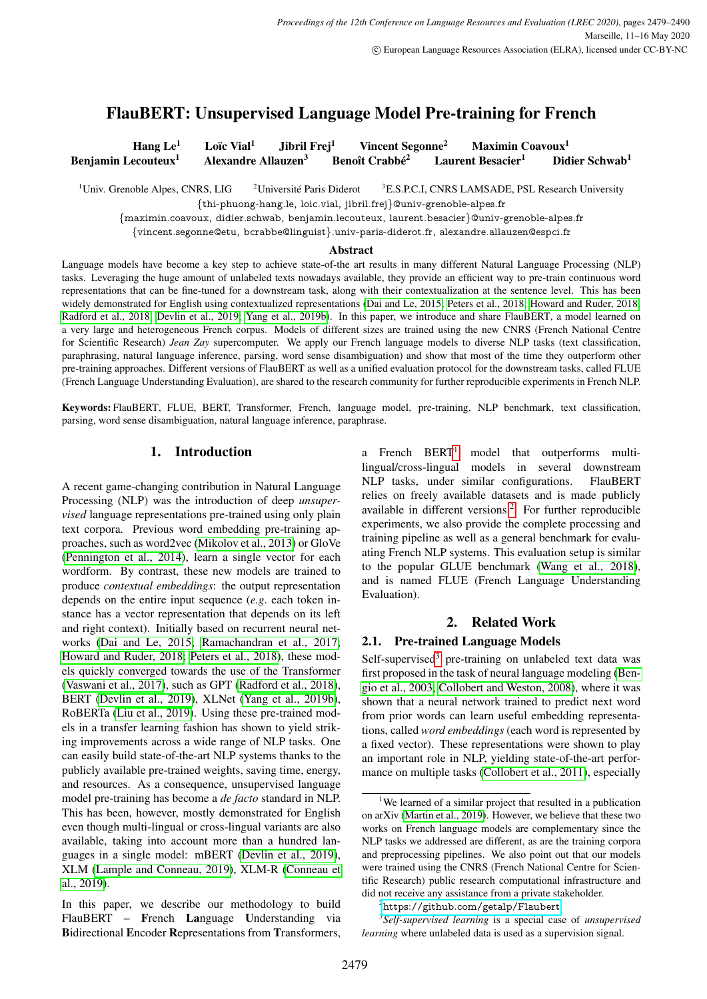# <span id="page-0-0"></span>FlauBERT: Unsupervised Language Model Pre-training for French

Hang Le<sup>1</sup> Loïc Vial<sup>1</sup> Jibril Frej<sup>1</sup> Vincent Segonne<sup>2</sup> Maximin Coavoux<sup>1</sup> Benjamin Lecouteux<sup>1</sup> Alexandre Allauzen<sup>3</sup> Benoît Crabbé<sup>2</sup> Laurent Besacier<sup>1</sup> Didier Schwab<sup>1</sup>

<sup>1</sup>Univ. Grenoble Alpes, CNRS, LIG  $\frac{2 \text{Université Paris Diderot}}{2 \text{ Université Paris Diderot}}$ <sup>3</sup>E.S.P.C.I, CNRS LAMSADE, PSL Research University {thi-phuong-hang.le, loic.vial, jibril.frej}@univ-grenoble-alpes.fr

{maximin.coavoux, didier.schwab, benjamin.lecouteux, laurent.besacier}@univ-grenoble-alpes.fr

{vincent.segonne@etu, bcrabbe@linguist}.univ-paris-diderot.fr, alexandre.allauzen@espci.fr

#### Abstract

Language models have become a key step to achieve state-of-the art results in many different Natural Language Processing (NLP) tasks. Leveraging the huge amount of unlabeled texts nowadays available, they provide an efficient way to pre-train continuous word representations that can be fine-tuned for a downstream task, along with their contextualization at the sentence level. This has been widely demonstrated for English using contextualized representations [\(Dai and Le, 2015;](#page-8-0) [Peters et al., 2018;](#page-10-0) [Howard and Ruder, 2018;](#page-9-0) [Radford et al., 2018;](#page-10-1) [Devlin et al., 2019;](#page-8-1) [Yang et al., 2019b\)](#page-11-0). In this paper, we introduce and share FlauBERT, a model learned on a very large and heterogeneous French corpus. Models of different sizes are trained using the new CNRS (French National Centre for Scientific Research) *Jean Zay* supercomputer. We apply our French language models to diverse NLP tasks (text classification, paraphrasing, natural language inference, parsing, word sense disambiguation) and show that most of the time they outperform other pre-training approaches. Different versions of FlauBERT as well as a unified evaluation protocol for the downstream tasks, called FLUE (French Language Understanding Evaluation), are shared to the research community for further reproducible experiments in French NLP.

Keywords: FlauBERT, FLUE, BERT, Transformer, French, language model, pre-training, NLP benchmark, text classification, parsing, word sense disambiguation, natural language inference, paraphrase.

## 1. Introduction

A recent game-changing contribution in Natural Language Processing (NLP) was the introduction of deep *unsupervised* language representations pre-trained using only plain text corpora. Previous word embedding pre-training approaches, such as word2vec [\(Mikolov et al., 2013\)](#page-9-1) or GloVe [\(Pennington et al., 2014\)](#page-10-2), learn a single vector for each wordform. By contrast, these new models are trained to produce *contextual embeddings*: the output representation depends on the entire input sequence (*e.g*. each token instance has a vector representation that depends on its left and right context). Initially based on recurrent neural networks [\(Dai and Le, 2015;](#page-8-0) [Ramachandran et al., 2017;](#page-10-3) [Howard and Ruder, 2018;](#page-9-0) [Peters et al., 2018\)](#page-10-0), these models quickly converged towards the use of the Transformer [\(Vaswani et al., 2017\)](#page-10-4), such as GPT [\(Radford et al., 2018\)](#page-10-1), BERT [\(Devlin et al., 2019\)](#page-8-1), XLNet [\(Yang et al., 2019b\)](#page-11-0), RoBERTa [\(Liu et al., 2019\)](#page-9-2). Using these pre-trained models in a transfer learning fashion has shown to yield striking improvements across a wide range of NLP tasks. One can easily build state-of-the-art NLP systems thanks to the publicly available pre-trained weights, saving time, energy, and resources. As a consequence, unsupervised language model pre-training has become a *de facto* standard in NLP. This has been, however, mostly demonstrated for English even though multi-lingual or cross-lingual variants are also available, taking into account more than a hundred languages in a single model: mBERT [\(Devlin et al., 2019\)](#page-8-1), XLM [\(Lample and Conneau, 2019\)](#page-9-3), XLM-R [\(Conneau et](#page-8-2) [al., 2019\)](#page-8-2).

In this paper, we describe our methodology to build FlauBERT – French Language Understanding via Bidirectional Encoder Representations from Transformers, a French  $BERT<sup>1</sup>$  model that outperforms multilingual/cross-lingual models in several downstream NLP tasks, under similar configurations. FlauBERT relies on freely available datasets and is made publicly available in different versions.<sup>2</sup> For further reproducible experiments, we also provide the complete processing and training pipeline as well as a general benchmark for evaluating French NLP systems. This evaluation setup is similar to the popular GLUE benchmark [\(Wang et al., 2018\)](#page-10-5), and is named FLUE (French Language Understanding Evaluation).

# 2. Related Work

## 2.1. Pre-trained Language Models

Self-supervised $3$  pre-training on unlabeled text data was first proposed in the task of neural language modeling [\(Ben](#page-8-3)[gio et al., 2003;](#page-8-3) [Collobert and Weston, 2008\)](#page-8-4), where it was shown that a neural network trained to predict next word from prior words can learn useful embedding representations, called *word embeddings* (each word is represented by a fixed vector). These representations were shown to play an important role in NLP, yielding state-of-the-art performance on multiple tasks [\(Collobert et al., 2011\)](#page-8-5), especially

<sup>&</sup>lt;sup>1</sup>We learned of a similar project that resulted in a publication on arXiv [\(Martin et al., 2019\)](#page-9-4). However, we believe that these two works on French language models are complementary since the NLP tasks we addressed are different, as are the training corpora and preprocessing pipelines. We also point out that our models were trained using the CNRS (French National Centre for Scientific Research) public research computational infrastructure and did not receive any assistance from a private stakeholder.

<sup>2</sup><https://github.com/getalp/Flaubert>

<sup>3</sup> *Self-supervised learning* is a special case of *unsupervised learning* where unlabeled data is used as a supervision signal.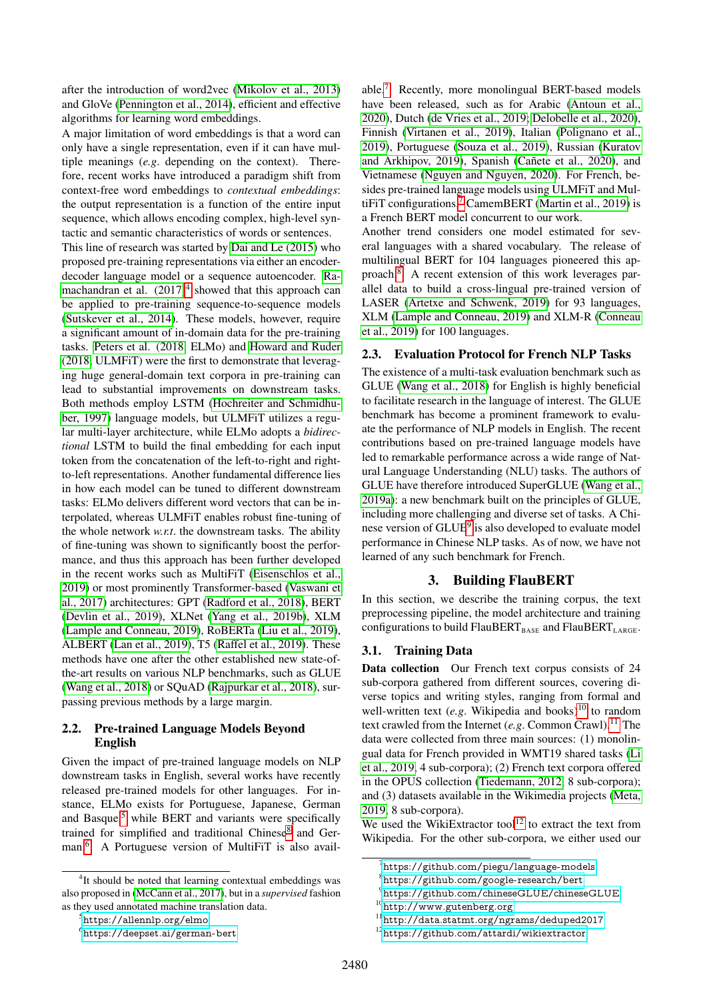after the introduction of word2vec [\(Mikolov et al., 2013\)](#page-9-1) and GloVe [\(Pennington et al., 2014\)](#page-10-2), efficient and effective algorithms for learning word embeddings.

A major limitation of word embeddings is that a word can only have a single representation, even if it can have multiple meanings (*e.g*. depending on the context). Therefore, recent works have introduced a paradigm shift from context-free word embeddings to *contextual embeddings*: the output representation is a function of the entire input sequence, which allows encoding complex, high-level syntactic and semantic characteristics of words or sentences.

This line of research was started by [Dai and Le \(2015\)](#page-8-0) who proposed pre-training representations via either an encoderdecoder language model or a sequence autoencoder. [Ra](#page-10-3)machandran et al.  $(2017)^4$  $(2017)^4$  showed that this approach can be applied to pre-training sequence-to-sequence models [\(Sutskever et al., 2014\)](#page-10-6). These models, however, require a significant amount of in-domain data for the pre-training tasks. [Peters et al. \(2018,](#page-10-0) ELMo) and [Howard and Ruder](#page-9-0) [\(2018,](#page-9-0) ULMFiT) were the first to demonstrate that leveraging huge general-domain text corpora in pre-training can lead to substantial improvements on downstream tasks. Both methods employ LSTM [\(Hochreiter and Schmidhu](#page-9-5)[ber, 1997\)](#page-9-5) language models, but ULMFiT utilizes a regular multi-layer architecture, while ELMo adopts a *bidirectional* LSTM to build the final embedding for each input token from the concatenation of the left-to-right and rightto-left representations. Another fundamental difference lies in how each model can be tuned to different downstream tasks: ELMo delivers different word vectors that can be interpolated, whereas ULMFiT enables robust fine-tuning of the whole network *w.r.t*. the downstream tasks. The ability of fine-tuning was shown to significantly boost the performance, and thus this approach has been further developed in the recent works such as MultiFiT [\(Eisenschlos et al.,](#page-9-6) [2019\)](#page-9-6) or most prominently Transformer-based [\(Vaswani et](#page-10-4) [al., 2017\)](#page-10-4) architectures: GPT [\(Radford et al., 2018\)](#page-10-1), BERT [\(Devlin et al., 2019\)](#page-8-1), XLNet [\(Yang et al., 2019b\)](#page-11-0), XLM [\(Lample and Conneau, 2019\)](#page-9-3), RoBERTa [\(Liu et al., 2019\)](#page-9-2), ALBERT [\(Lan et al., 2019\)](#page-9-7), T5 [\(Raffel et al., 2019\)](#page-10-7). These methods have one after the other established new state-ofthe-art results on various NLP benchmarks, such as GLUE [\(Wang et al., 2018\)](#page-10-5) or SQuAD [\(Rajpurkar et al., 2018\)](#page-10-8), surpassing previous methods by a large margin.

## <span id="page-1-0"></span>2.2. Pre-trained Language Models Beyond English

Given the impact of pre-trained language models on NLP downstream tasks in English, several works have recently released pre-trained models for other languages. For instance, ELMo exists for Portuguese, Japanese, German and Basque, $5$  while BERT and variants were specifically trained for simplified and traditional Chinese<sup>[8](#page-0-0)</sup> and German.[6](#page-0-0) A Portuguese version of MultiFiT is also available.[7](#page-0-0) Recently, more monolingual BERT-based models have been released, such as for Arabic [\(Antoun et al.,](#page-8-6) [2020\)](#page-8-6), Dutch [\(de Vries et al., 2019;](#page-8-7) [Delobelle et al., 2020\)](#page-8-8), Finnish [\(Virtanen et al., 2019\)](#page-10-9), Italian [\(Polignano et al.,](#page-10-10) [2019\)](#page-10-10), Portuguese [\(Souza et al., 2019\)](#page-10-11), Russian [\(Kuratov](#page-9-9) [and Arkhipov, 2019\)](#page-9-9), Spanish (Cañete et al., 2020), and Vietnamese [\(Nguyen and Nguyen, 2020\)](#page-9-10). For French, besides pre-trained language models using ULMFiT and Mul-tiFiT configurations,<sup>[7](#page-0-0)</sup> CamemBERT [\(Martin et al., 2019\)](#page-9-4) is a French BERT model concurrent to our work.

Another trend considers one model estimated for several languages with a shared vocabulary. The release of multilingual BERT for 104 languages pioneered this approach.[8](#page-0-0) A recent extension of this work leverages parallel data to build a cross-lingual pre-trained version of LASER [\(Artetxe and Schwenk, 2019\)](#page-8-10) for 93 languages, XLM [\(Lample and Conneau, 2019\)](#page-9-3) and XLM-R [\(Conneau](#page-8-2) [et al., 2019\)](#page-8-2) for 100 languages.

## 2.3. Evaluation Protocol for French NLP Tasks

The existence of a multi-task evaluation benchmark such as GLUE [\(Wang et al., 2018\)](#page-10-5) for English is highly beneficial to facilitate research in the language of interest. The GLUE benchmark has become a prominent framework to evaluate the performance of NLP models in English. The recent contributions based on pre-trained language models have led to remarkable performance across a wide range of Natural Language Understanding (NLU) tasks. The authors of GLUE have therefore introduced SuperGLUE [\(Wang et al.,](#page-10-12) [2019a\)](#page-10-12): a new benchmark built on the principles of GLUE, including more challenging and diverse set of tasks. A Chi-nese version of GLUE<sup>[9](#page-0-0)</sup> is also developed to evaluate model performance in Chinese NLP tasks. As of now, we have not learned of any such benchmark for French.

## 3. Building FlauBERT

In this section, we describe the training corpus, the text preprocessing pipeline, the model architecture and training configurations to build FlauBERT<sub>BASE</sub> and FlauBERT<sub>LARGE</sub>.

#### 3.1. Training Data

Data collection Our French text corpus consists of 24 sub-corpora gathered from different sources, covering diverse topics and writing styles, ranging from formal and well-written text (*e.g.* Wikipedia and books)<sup>[10](#page-0-0)</sup> to random text crawled from the Internet (*e.g.* Common Crawl).<sup>[11](#page-0-0)</sup> The data were collected from three main sources: (1) monolingual data for French provided in WMT19 shared tasks [\(Li](#page-9-11) [et al., 2019,](#page-9-11) 4 sub-corpora); (2) French text corpora offered in the OPUS collection [\(Tiedemann, 2012,](#page-10-13) 8 sub-corpora); and (3) datasets available in the Wikimedia projects [\(Meta,](#page-9-12) [2019,](#page-9-12) 8 sub-corpora).

We used the WikiExtractor tool<sup>[12](#page-0-0)</sup> to extract the text from Wikipedia. For the other sub-corpora, we either used our

<sup>&</sup>lt;sup>4</sup>It should be noted that learning contextual embeddings was also proposed in [\(McCann et al., 2017\)](#page-9-8), but in a *supervised* fashion as they used annotated machine translation data.

<sup>5</sup><https://allennlp.org/elmo>

<sup>6</sup><https://deepset.ai/german-bert>

 $^{7}$ <https://github.com/piegu/language-models>

<sup>8</sup><https://github.com/google-research/bert>

<sup>9</sup><https://github.com/chineseGLUE/chineseGLUE>

<sup>10</sup><http://www.gutenberg.org>

 $^{11}\rm{http://data.statmt.org/ngrams/deduped2017}$  $^{11}\rm{http://data.statmt.org/ngrams/deduped2017}$  $^{11}\rm{http://data.statmt.org/ngrams/deduped2017}$ 

<sup>12</sup><https://github.com/attardi/wikiextractor>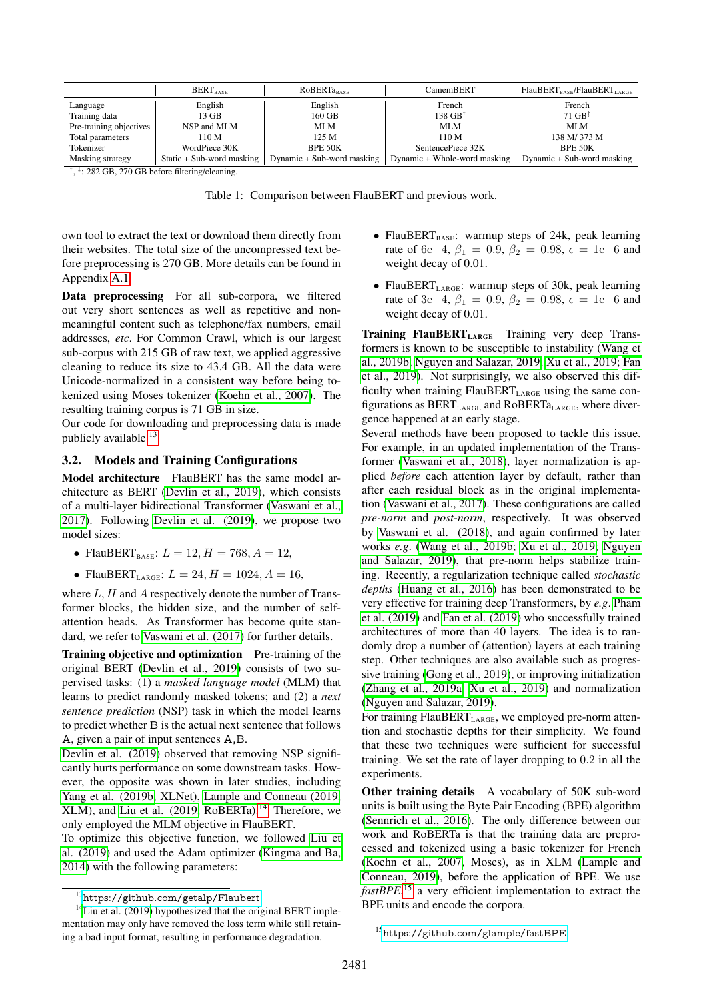<span id="page-2-0"></span>

|                                                                                                                                                                                                                                                    | <b>BERT</b> <sub>RASE</sub> | <b>ROBERTa<sub>rase</sub></b> | CamemBERT                    | $FlauBERTBASE/FlauBERTLARGE$ |
|----------------------------------------------------------------------------------------------------------------------------------------------------------------------------------------------------------------------------------------------------|-----------------------------|-------------------------------|------------------------------|------------------------------|
| Language                                                                                                                                                                                                                                           | English                     | English                       | French                       | French                       |
| Training data                                                                                                                                                                                                                                      | 13 GB                       | 160 GB                        | $138 \text{ GB}^{\dagger}$   | 71 $GB^{\ddagger}$           |
| Pre-training objectives                                                                                                                                                                                                                            | NSP and MLM                 | <b>MLM</b>                    | <b>MLM</b>                   | <b>MLM</b>                   |
| Total parameters                                                                                                                                                                                                                                   | 110 M                       | 125 M                         | 110 M                        | 138 M/373 M                  |
| Tokenizer                                                                                                                                                                                                                                          | WordPiece 30K               | BPE 50K                       | SentencePiece 32K            | BPE 50K                      |
| Masking strategy<br>the first property with the company of the control of the control of the control of the control of the control of the control of the control of the control of the control of the control of the control of the control of the | Static + Sub-word masking   | Dynamic + Sub-word masking    | Dynamic + Whole-word masking | Dynamic + Sub-word masking   |

† , ‡ : 282 GB, 270 GB before filtering/cleaning.

Table 1: Comparison between FlauBERT and previous work.

own tool to extract the text or download them directly from their websites. The total size of the uncompressed text before preprocessing is 270 GB. More details can be found in Appendix [A.1.](#page-6-0)

Data preprocessing For all sub-corpora, we filtered out very short sentences as well as repetitive and nonmeaningful content such as telephone/fax numbers, email addresses, *etc*. For Common Crawl, which is our largest sub-corpus with 215 GB of raw text, we applied aggressive cleaning to reduce its size to 43.4 GB. All the data were Unicode-normalized in a consistent way before being tokenized using Moses tokenizer [\(Koehn et al., 2007\)](#page-9-13). The resulting training corpus is 71 GB in size.

Our code for downloading and preprocessing data is made publicly available.[13](#page-0-0)

## 3.2. Models and Training Configurations

Model architecture FlauBERT has the same model architecture as BERT [\(Devlin et al., 2019\)](#page-8-1), which consists of a multi-layer bidirectional Transformer [\(Vaswani et al.,](#page-10-4) [2017\)](#page-10-4). Following [Devlin et al. \(2019\)](#page-8-1), we propose two model sizes:

- FlauBERT<sub>BASE</sub>:  $L = 12, H = 768, A = 12,$
- FlauBERT<sub>LARGE</sub>:  $L = 24, H = 1024, A = 16,$

where  $L$ ,  $H$  and  $A$  respectively denote the number of Transformer blocks, the hidden size, and the number of selfattention heads. As Transformer has become quite standard, we refer to [Vaswani et al. \(2017\)](#page-10-4) for further details.

Training objective and optimization Pre-training of the original BERT [\(Devlin et al., 2019\)](#page-8-1) consists of two supervised tasks: (1) a *masked language model* (MLM) that learns to predict randomly masked tokens; and (2) a *next sentence prediction* (NSP) task in which the model learns to predict whether B is the actual next sentence that follows A, given a pair of input sentences A,B.

[Devlin et al. \(2019\)](#page-8-1) observed that removing NSP significantly hurts performance on some downstream tasks. However, the opposite was shown in later studies, including [Yang et al. \(2019b,](#page-11-0) XLNet), [Lample and Conneau \(2019,](#page-9-3) XLM), and [Liu et al. \(2019,](#page-9-2) RoBERTa).<sup>[14](#page-0-0)</sup> Therefore, we only employed the MLM objective in FlauBERT.

To optimize this objective function, we followed [Liu et](#page-9-2) [al. \(2019\)](#page-9-2) and used the Adam optimizer [\(Kingma and Ba,](#page-9-14) [2014\)](#page-9-14) with the following parameters:

- FlauBERT<sub>BASE</sub>: warmup steps of 24k, peak learning rate of 6e−4,  $\beta_1 = 0.9$ ,  $\beta_2 = 0.98$ ,  $\epsilon = 1e-6$  and weight decay of 0.01.
- FlauBERT<sub>LARGE</sub>: warmup steps of 30k, peak learning rate of 3e−4,  $\beta_1 = 0.9$ ,  $\beta_2 = 0.98$ ,  $\epsilon = 1e-6$  and weight decay of 0.01.

Training FlauBERT<sub>LARGE</sub> Training very deep Transformers is known to be susceptible to instability [\(Wang et](#page-11-1) [al., 2019b;](#page-11-1) [Nguyen and Salazar, 2019;](#page-9-15) [Xu et al., 2019;](#page-11-2) [Fan](#page-9-16) [et al., 2019\)](#page-9-16). Not surprisingly, we also observed this difficulty when training  $Fla \text{uBERT}_{\text{LARGE}}$  using the same configurations as  $BERT_{LARGE}$  and  $RoBERT_{LARGE}$ , where divergence happened at an early stage.

Several methods have been proposed to tackle this issue. For example, in an updated implementation of the Transformer [\(Vaswani et al., 2018\)](#page-10-14), layer normalization is applied *before* each attention layer by default, rather than after each residual block as in the original implementation [\(Vaswani et al., 2017\)](#page-10-4). These configurations are called *pre-norm* and *post-norm*, respectively. It was observed by [Vaswani et al. \(2018\)](#page-10-14), and again confirmed by later works *e.g*. [\(Wang et al., 2019b;](#page-11-1) [Xu et al., 2019;](#page-11-2) [Nguyen](#page-9-15) [and Salazar, 2019\)](#page-9-15), that pre-norm helps stabilize training. Recently, a regularization technique called *stochastic depths* [\(Huang et al., 2016\)](#page-9-17) has been demonstrated to be very effective for training deep Transformers, by *e.g*. [Pham](#page-10-15) [et al. \(2019\)](#page-10-15) and [Fan et al. \(2019\)](#page-9-16) who successfully trained architectures of more than 40 layers. The idea is to randomly drop a number of (attention) layers at each training step. Other techniques are also available such as progressive training [\(Gong et al., 2019\)](#page-9-18), or improving initialization [\(Zhang et al., 2019a;](#page-11-3) [Xu et al., 2019\)](#page-11-2) and normalization [\(Nguyen and Salazar, 2019\)](#page-9-15).

For training FlauBERT<sub>LARGE</sub>, we employed pre-norm attention and stochastic depths for their simplicity. We found that these two techniques were sufficient for successful training. We set the rate of layer dropping to 0.2 in all the experiments.

Other training details A vocabulary of 50K sub-word units is built using the Byte Pair Encoding (BPE) algorithm [\(Sennrich et al., 2016\)](#page-10-16). The only difference between our work and RoBERTa is that the training data are preprocessed and tokenized using a basic tokenizer for French [\(Koehn et al., 2007,](#page-9-13) Moses), as in XLM [\(Lample and](#page-9-3) [Conneau, 2019\)](#page-9-3), before the application of BPE. We use *fastBPE*, [15](#page-0-0) a very efficient implementation to extract the BPE units and encode the corpora.

<sup>13</sup><https://github.com/getalp/Flaubert>

<sup>&</sup>lt;sup>14</sup>[Liu et al. \(2019\)](#page-9-2) hypothesized that the original BERT implementation may only have removed the loss term while still retaining a bad input format, resulting in performance degradation.

 $^{15}{\rm https://github.com/glample/fastBPE}$  $^{15}{\rm https://github.com/glample/fastBPE}$  $^{15}{\rm https://github.com/glample/fastBPE}$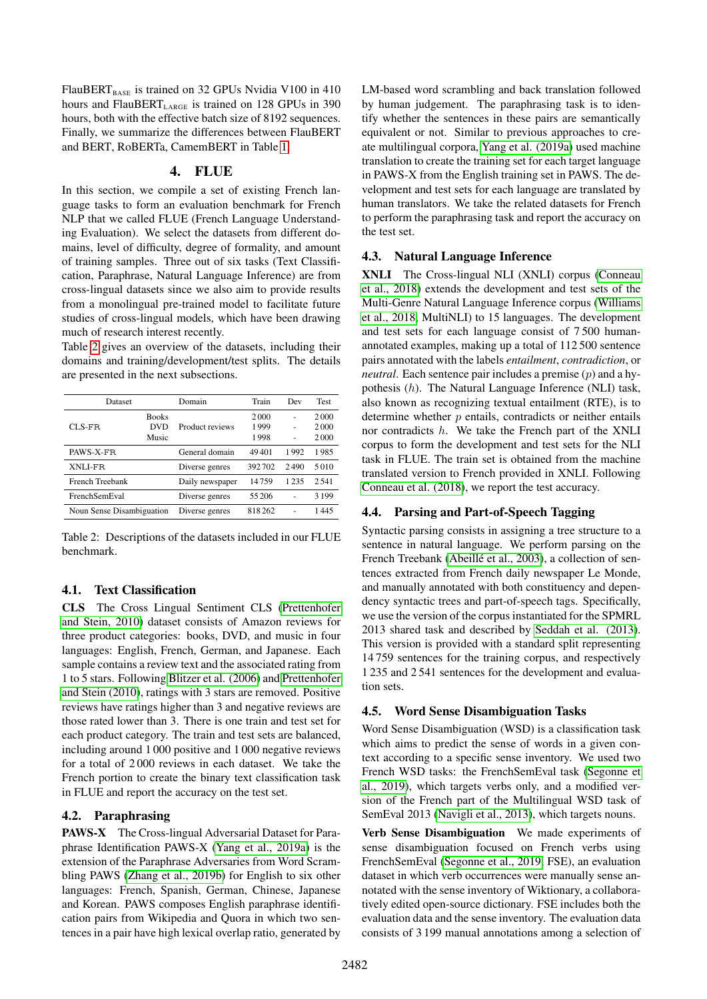$FlauBERT<sub>BASE</sub>$  is trained on 32 GPUs Nvidia V100 in 410 hours and FlauBERT $_{\rm LARGE}$  is trained on 128 GPUs in 390 hours, both with the effective batch size of 8192 sequences. Finally, we summarize the differences between FlauBERT and BERT, RoBERTa, CamemBERT in Table [1.](#page-2-0)

## 4. FLUE

In this section, we compile a set of existing French language tasks to form an evaluation benchmark for French NLP that we called FLUE (French Language Understanding Evaluation). We select the datasets from different domains, level of difficulty, degree of formality, and amount of training samples. Three out of six tasks (Text Classification, Paraphrase, Natural Language Inference) are from cross-lingual datasets since we also aim to provide results from a monolingual pre-trained model to facilitate future studies of cross-lingual models, which have been drawing much of research interest recently.

Table [2](#page-3-0) gives an overview of the datasets, including their domains and training/development/test splits. The details are presented in the next subsections.

<span id="page-3-0"></span>

| Dataset                   |              | Train<br>Domain |        | Dev  | <b>Test</b> |
|---------------------------|--------------|-----------------|--------|------|-------------|
|                           | <b>Books</b> |                 | 2000   |      | 2000        |
| $CLS-FR$                  | <b>DVD</b>   | Product reviews | 1999   |      | 2000        |
| Music                     |              |                 | 1998   |      | 2000        |
| PAWS-X-FR                 |              | General domain  | 49401  | 1992 | 1985        |
| XNLI-FR.                  |              | Diverse genres  | 392702 | 2490 | 5010        |
| French Treebank           |              | Daily newspaper | 14759  | 1235 | 2.541       |
| FrenchSemEval             |              | Diverse genres  | 55 206 |      | 3 1 9 9     |
| Noun Sense Disambiguation |              | Diverse genres  | 818262 |      | 1445        |

Table 2: Descriptions of the datasets included in our FLUE benchmark.

# 4.1. Text Classification

CLS The Cross Lingual Sentiment CLS [\(Prettenhofer](#page-10-17) [and Stein, 2010\)](#page-10-17) dataset consists of Amazon reviews for three product categories: books, DVD, and music in four languages: English, French, German, and Japanese. Each sample contains a review text and the associated rating from 1 to 5 stars. Following [Blitzer et al. \(2006\)](#page-8-11) and [Prettenhofer](#page-10-17) [and Stein \(2010\)](#page-10-17), ratings with 3 stars are removed. Positive reviews have ratings higher than 3 and negative reviews are those rated lower than 3. There is one train and test set for each product category. The train and test sets are balanced, including around 1 000 positive and 1 000 negative reviews for a total of 2 000 reviews in each dataset. We take the French portion to create the binary text classification task in FLUE and report the accuracy on the test set.

# 4.2. Paraphrasing

PAWS-X The Cross-lingual Adversarial Dataset for Paraphrase Identification PAWS-X [\(Yang et al., 2019a\)](#page-11-4) is the extension of the Paraphrase Adversaries from Word Scrambling PAWS [\(Zhang et al., 2019b\)](#page-11-5) for English to six other languages: French, Spanish, German, Chinese, Japanese and Korean. PAWS composes English paraphrase identification pairs from Wikipedia and Quora in which two sentences in a pair have high lexical overlap ratio, generated by

LM-based word scrambling and back translation followed by human judgement. The paraphrasing task is to identify whether the sentences in these pairs are semantically equivalent or not. Similar to previous approaches to create multilingual corpora, [Yang et al. \(2019a\)](#page-11-4) used machine translation to create the training set for each target language in PAWS-X from the English training set in PAWS. The development and test sets for each language are translated by human translators. We take the related datasets for French to perform the paraphrasing task and report the accuracy on the test set.

# 4.3. Natural Language Inference

XNLI The Cross-lingual NLI (XNLI) corpus [\(Conneau](#page-8-12) [et al., 2018\)](#page-8-12) extends the development and test sets of the Multi-Genre Natural Language Inference corpus [\(Williams](#page-11-6) [et al., 2018,](#page-11-6) MultiNLI) to 15 languages. The development and test sets for each language consist of 7 500 humanannotated examples, making up a total of 112 500 sentence pairs annotated with the labels *entailment*, *contradiction*, or *neutral*. Each sentence pair includes a premise (p) and a hypothesis (h). The Natural Language Inference (NLI) task, also known as recognizing textual entailment (RTE), is to determine whether  $p$  entails, contradicts or neither entails nor contradicts h. We take the French part of the XNLI corpus to form the development and test sets for the NLI task in FLUE. The train set is obtained from the machine translated version to French provided in XNLI. Following [Conneau et al. \(2018\)](#page-8-12), we report the test accuracy.

# 4.4. Parsing and Part-of-Speech Tagging

Syntactic parsing consists in assigning a tree structure to a sentence in natural language. We perform parsing on the French Treebank (Abeillé et al., 2003), a collection of sentences extracted from French daily newspaper Le Monde, and manually annotated with both constituency and dependency syntactic trees and part-of-speech tags. Specifically, we use the version of the corpus instantiated for the SPMRL 2013 shared task and described by [Seddah et al. \(2013\)](#page-10-18). This version is provided with a standard split representing 14 759 sentences for the training corpus, and respectively 1 235 and 2 541 sentences for the development and evaluation sets.

# 4.5. Word Sense Disambiguation Tasks

Word Sense Disambiguation (WSD) is a classification task which aims to predict the sense of words in a given context according to a specific sense inventory. We used two French WSD tasks: the FrenchSemEval task [\(Segonne et](#page-10-19) [al., 2019\)](#page-10-19), which targets verbs only, and a modified version of the French part of the Multilingual WSD task of SemEval 2013 [\(Navigli et al., 2013\)](#page-9-19), which targets nouns.

Verb Sense Disambiguation We made experiments of sense disambiguation focused on French verbs using FrenchSemEval [\(Segonne et al., 2019,](#page-10-19) FSE), an evaluation dataset in which verb occurrences were manually sense annotated with the sense inventory of Wiktionary, a collaboratively edited open-source dictionary. FSE includes both the evaluation data and the sense inventory. The evaluation data consists of 3 199 manual annotations among a selection of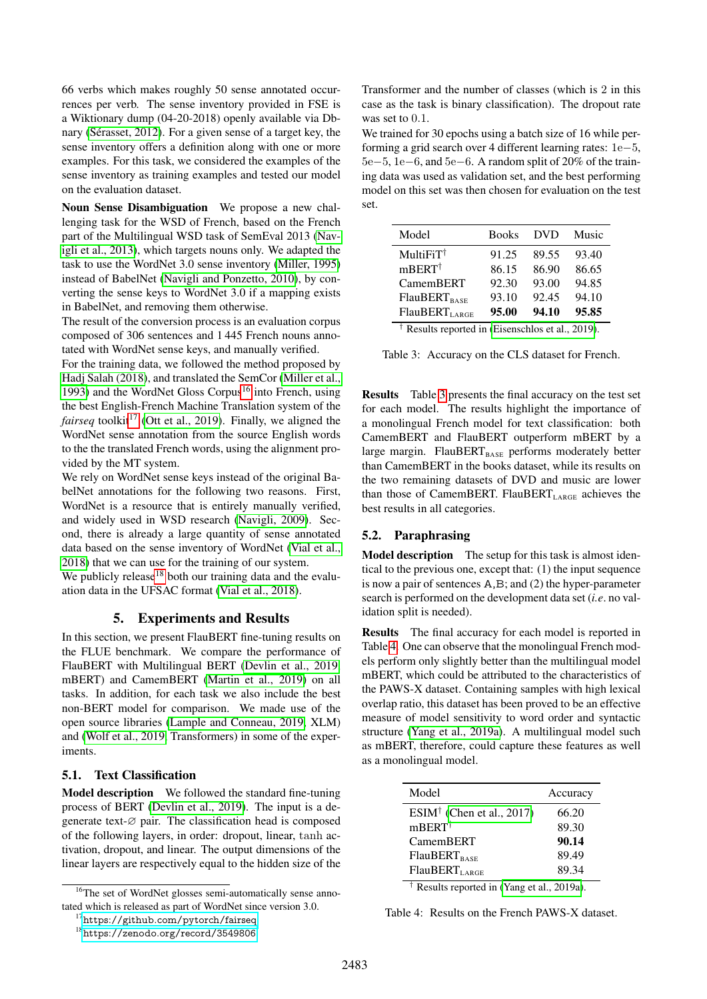66 verbs which makes roughly 50 sense annotated occurrences per verb. The sense inventory provided in FSE is a Wiktionary dump (04-20-2018) openly available via Dbnary (Sérasset, 2012). For a given sense of a target key, the sense inventory offers a definition along with one or more examples. For this task, we considered the examples of the sense inventory as training examples and tested our model on the evaluation dataset.

Noun Sense Disambiguation We propose a new challenging task for the WSD of French, based on the French part of the Multilingual WSD task of SemEval 2013 [\(Nav](#page-9-19)[igli et al., 2013\)](#page-9-19), which targets nouns only. We adapted the task to use the WordNet 3.0 sense inventory [\(Miller, 1995\)](#page-9-20) instead of BabelNet [\(Navigli and Ponzetto, 2010\)](#page-9-21), by converting the sense keys to WordNet 3.0 if a mapping exists in BabelNet, and removing them otherwise.

The result of the conversion process is an evaluation corpus composed of 306 sentences and 1 445 French nouns annotated with WordNet sense keys, and manually verified.

For the training data, we followed the method proposed by [Hadj Salah \(2018\)](#page-9-22), and translated the SemCor [\(Miller et al.,](#page-9-23) [1993\)](#page-9-23) and the WordNet Gloss Corpus<sup>[16](#page-0-0)</sup> into French, using the best English-French Machine Translation system of the *fairseq* toolkit<sup>[17](#page-0-0)</sup> [\(Ott et al., 2019\)](#page-9-24). Finally, we aligned the WordNet sense annotation from the source English words to the the translated French words, using the alignment provided by the MT system.

We rely on WordNet sense keys instead of the original BabelNet annotations for the following two reasons. First, WordNet is a resource that is entirely manually verified, and widely used in WSD research [\(Navigli, 2009\)](#page-9-25). Second, there is already a large quantity of sense annotated data based on the sense inventory of WordNet [\(Vial et al.,](#page-10-21) [2018\)](#page-10-21) that we can use for the training of our system.

We publicly release $18$  both our training data and the evaluation data in the UFSAC format [\(Vial et al., 2018\)](#page-10-21).

# 5. Experiments and Results

In this section, we present FlauBERT fine-tuning results on the FLUE benchmark. We compare the performance of FlauBERT with Multilingual BERT [\(Devlin et al., 2019,](#page-8-1) mBERT) and CamemBERT [\(Martin et al., 2019\)](#page-9-4) on all tasks. In addition, for each task we also include the best non-BERT model for comparison. We made use of the open source libraries [\(Lample and Conneau, 2019,](#page-9-3) XLM) and [\(Wolf et al., 2019,](#page-11-7) Transformers) in some of the experiments.

#### 5.1. Text Classification

Model description We followed the standard fine-tuning process of BERT [\(Devlin et al., 2019\)](#page-8-1). The input is a degenerate text-∅ pair. The classification head is composed of the following layers, in order: dropout, linear, tanh activation, dropout, and linear. The output dimensions of the linear layers are respectively equal to the hidden size of the Transformer and the number of classes (which is 2 in this case as the task is binary classification). The dropout rate was set to 0.1.

We trained for 30 epochs using a batch size of 16 while performing a grid search over 4 different learning rates: 1e−5, 5e−5, 1e−6, and 5e−6. A random split of 20% of the training data was used as validation set, and the best performing model on this set was then chosen for evaluation on the test set.

<span id="page-4-0"></span>

| Model                                           | <b>Books</b> | <b>DVD</b> | Music |  |
|-------------------------------------------------|--------------|------------|-------|--|
| $MultiFiT^{\dagger}$                            | 91.25        | 89.55      | 93.40 |  |
| mBERT <sup>†</sup>                              | 86.15        | 86.90      | 86.65 |  |
| CamemBERT                                       | 92.30        | 93.00      | 94.85 |  |
| <b>FlauBERT</b> <sub>BASE</sub>                 | 93.10        | 92.45      | 94.10 |  |
| FlauBERT <sub>LARGE</sub>                       | 95.00        | 94.10      | 95.85 |  |
| Results reported in (Eisenschlos et al., 2019). |              |            |       |  |

Table 3: Accuracy on the CLS dataset for French.

Results Table [3](#page-4-0) presents the final accuracy on the test set for each model. The results highlight the importance of a monolingual French model for text classification: both CamemBERT and FlauBERT outperform mBERT by a large margin. FlauBERT $_{\text{BASE}}$  performs moderately better than CamemBERT in the books dataset, while its results on the two remaining datasets of DVD and music are lower than those of CamemBERT. FlauBERT<sub>LARGE</sub> achieves the best results in all categories.

## 5.2. Paraphrasing

Model description The setup for this task is almost identical to the previous one, except that: (1) the input sequence is now a pair of sentences A,B; and (2) the hyper-parameter search is performed on the development data set (*i.e*. no validation split is needed).

Results The final accuracy for each model is reported in Table [4.](#page-4-1) One can observe that the monolingual French models perform only slightly better than the multilingual model mBERT, which could be attributed to the characteristics of the PAWS-X dataset. Containing samples with high lexical overlap ratio, this dataset has been proved to be an effective measure of model sensitivity to word order and syntactic structure [\(Yang et al., 2019a\)](#page-11-4). A multilingual model such as mBERT, therefore, could capture these features as well as a monolingual model.

<span id="page-4-1"></span>

| Model                           | Accuracy |
|---------------------------------|----------|
| $ESIM†$ (Chen et al., 2017)     | 66.20    |
| mBERT <sup>†</sup>              | 89.30    |
| CamemBERT                       | 90.14    |
| <b>FlauBERT</b> <sub>BASE</sub> | 89.49    |
| FlauBERT <sub>LARGE</sub>       | 89.34    |

† Results reported in [\(Yang et al., 2019a\)](#page-11-4).

Table 4: Results on the French PAWS-X dataset.

<sup>&</sup>lt;sup>16</sup>The set of WordNet glosses semi-automatically sense annotated which is released as part of WordNet since version 3.0.

<sup>&</sup>lt;sup>17</sup><https://github.com/pytorch/fairseq>

<sup>18</sup><https://zenodo.org/record/3549806>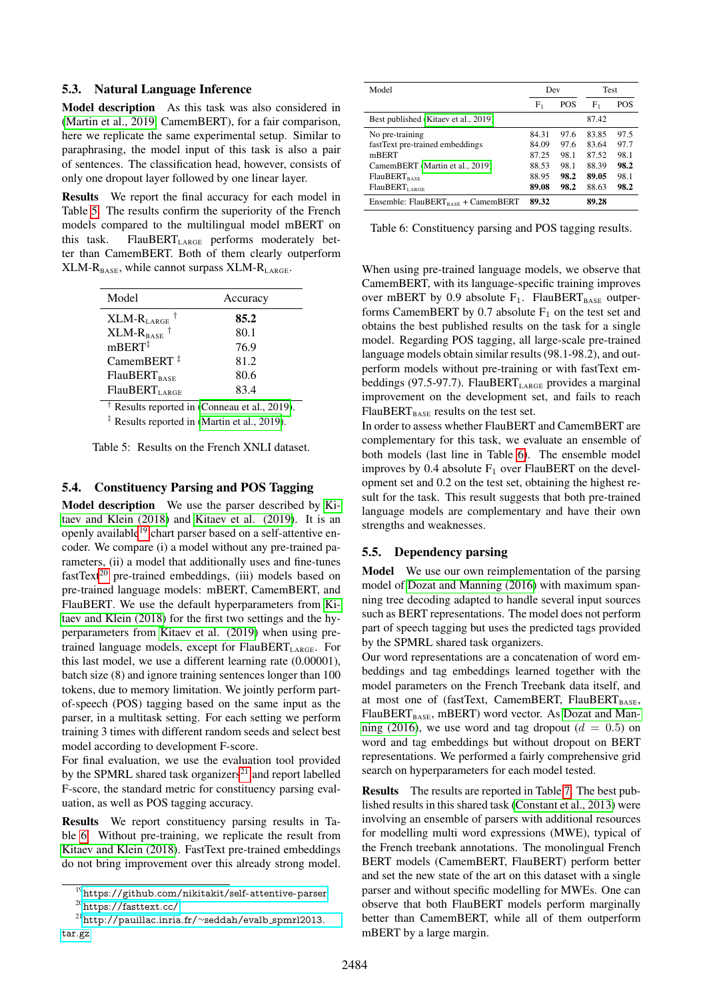#### 5.3. Natural Language Inference

Model description As this task was also considered in [\(Martin et al., 2019,](#page-9-4) CamemBERT), for a fair comparison, here we replicate the same experimental setup. Similar to paraphrasing, the model input of this task is also a pair of sentences. The classification head, however, consists of only one dropout layer followed by one linear layer.

Results We report the final accuracy for each model in Table [5.](#page-5-0) The results confirm the superiority of the French models compared to the multilingual model mBERT on this task. FlauBERT<sub>LARGE</sub> performs moderately better than CamemBERT. Both of them clearly outperform  $XLM-R_{BASE}$ , while cannot surpass  $XLM-R_{LARGE}$ .

<span id="page-5-0"></span>

| Model                           | Accuracy |
|---------------------------------|----------|
| $XLM-RLARGE$                    | 85.2     |
| $XLM-R_{BASE}$ <sup>†</sup>     | 80.1     |
| $mBERT^{\ddagger}$              | 76.9     |
| CamemBERT $\ddagger$            | 81.2     |
| <b>FlauBERT</b> <sub>BASE</sub> | 80.6     |
| FlauBERT <sub>LARGE</sub>       | 83.4     |

† Results reported in [\(Conneau et al., 2019\)](#page-8-2).

‡ Results reported in [\(Martin et al., 2019\)](#page-9-4).

Table 5: Results on the French XNLI dataset.

#### 5.4. Constituency Parsing and POS Tagging

Model description We use the parser described by [Ki](#page-9-26)[taev and Klein \(2018\)](#page-9-26) and [Kitaev et al. \(2019\)](#page-9-27). It is an openly available<sup>[19](#page-0-0)</sup> chart parser based on a self-attentive encoder. We compare (i) a model without any pre-trained parameters, (ii) a model that additionally uses and fine-tunes  $fastText^{20}$  $fastText^{20}$  $fastText^{20}$  pre-trained embeddings, (iii) models based on pre-trained language models: mBERT, CamemBERT, and FlauBERT. We use the default hyperparameters from [Ki](#page-9-26)[taev and Klein \(2018\)](#page-9-26) for the first two settings and the hyperparameters from [Kitaev et al. \(2019\)](#page-9-27) when using pretrained language models, except for FlauBERT<sub>LARGE</sub>. For this last model, we use a different learning rate (0.00001), batch size (8) and ignore training sentences longer than 100 tokens, due to memory limitation. We jointly perform partof-speech (POS) tagging based on the same input as the parser, in a multitask setting. For each setting we perform training 3 times with different random seeds and select best model according to development F-score.

For final evaluation, we use the evaluation tool provided by the SPMRL shared task organizers<sup>[21](#page-0-0)</sup> and report labelled F-score, the standard metric for constituency parsing evaluation, as well as POS tagging accuracy.

Results We report constituency parsing results in Table [6.](#page-5-1) Without pre-training, we replicate the result from [Kitaev and Klein \(2018\)](#page-9-26). FastText pre-trained embeddings do not bring improvement over this already strong model.

<span id="page-5-1"></span>

| Model                                          | Dev     |            | <b>Test</b> |            |
|------------------------------------------------|---------|------------|-------------|------------|
|                                                | $F_{1}$ | <b>POS</b> | ${\rm F}_1$ | <b>POS</b> |
| Best published (Kitaev et al., 2019)           |         |            | 87.42       |            |
| No pre-training                                | 84.31   | 97.6       | 83.85       | 97.5       |
| fastText pre-trained embeddings                | 84.09   | 97.6       | 83.64       | 97.7       |
| mBERT                                          | 87.25   | 98.1       | 87.52       | 98.1       |
| CamemBERT (Martin et al., 2019)                | 88.53   | 98.1       | 88.39       | 98.2       |
| <b>FlauBERT</b> <sub>BASE</sub>                | 88.95   | 98.2       | 89.05       | 98.1       |
| FlauBERT <sub>LARGE</sub>                      | 89.08   | 98.2       | 88.63       | 98.2       |
| Ensemble: FlauBERT <sub>BASE</sub> + CamemBERT | 89.32   |            | 89.28       |            |

Table 6: Constituency parsing and POS tagging results.

When using pre-trained language models, we observe that CamemBERT, with its language-specific training improves over mBERT by 0.9 absolute  $F_1$ . FlauBERT<sub>BASE</sub> outperforms CamemBERT by 0.7 absolute  $F_1$  on the test set and obtains the best published results on the task for a single model. Regarding POS tagging, all large-scale pre-trained language models obtain similar results (98.1-98.2), and outperform models without pre-training or with fastText embeddings (97.5-97.7). FlauBERT<sub>LARGE</sub> provides a marginal improvement on the development set, and fails to reach  $FlauBERT<sub>BASE</sub>$  results on the test set.

In order to assess whether FlauBERT and CamemBERT are complementary for this task, we evaluate an ensemble of both models (last line in Table [6\)](#page-5-1). The ensemble model improves by 0.4 absolute  $F_1$  over FlauBERT on the development set and 0.2 on the test set, obtaining the highest result for the task. This result suggests that both pre-trained language models are complementary and have their own strengths and weaknesses.

## 5.5. Dependency parsing

Model We use our own reimplementation of the parsing model of [Dozat and Manning \(2016\)](#page-8-15) with maximum spanning tree decoding adapted to handle several input sources such as BERT representations. The model does not perform part of speech tagging but uses the predicted tags provided by the SPMRL shared task organizers.

Our word representations are a concatenation of word embeddings and tag embeddings learned together with the model parameters on the French Treebank data itself, and at most one of (fastText, CamemBERT, FlauBERTBASE,  $FlauBERT<sub>BASE</sub>$ , mBERT) word vector. As [Dozat and Man](#page-8-15)[ning \(2016\)](#page-8-15), we use word and tag dropout ( $d = 0.5$ ) on word and tag embeddings but without dropout on BERT representations. We performed a fairly comprehensive grid search on hyperparameters for each model tested.

Results The results are reported in Table [7.](#page-6-1) The best published results in this shared task [\(Constant et al., 2013\)](#page-8-16) were involving an ensemble of parsers with additional resources for modelling multi word expressions (MWE), typical of the French treebank annotations. The monolingual French BERT models (CamemBERT, FlauBERT) perform better and set the new state of the art on this dataset with a single parser and without specific modelling for MWEs. One can observe that both FlauBERT models perform marginally better than CamemBERT, while all of them outperform mBERT by a large margin.

<sup>19</sup><https://github.com/nikitakit/self-attentive-parser> <sup>20</sup><https://fasttext.cc/>

<sup>21</sup>[http://pauillac.inria.fr/](http://pauillac.inria.fr/~seddah/evalb_spmrl2013.tar.gz)∼seddah/evalb spmrl2013. [tar.gz](http://pauillac.inria.fr/~seddah/evalb_spmrl2013.tar.gz)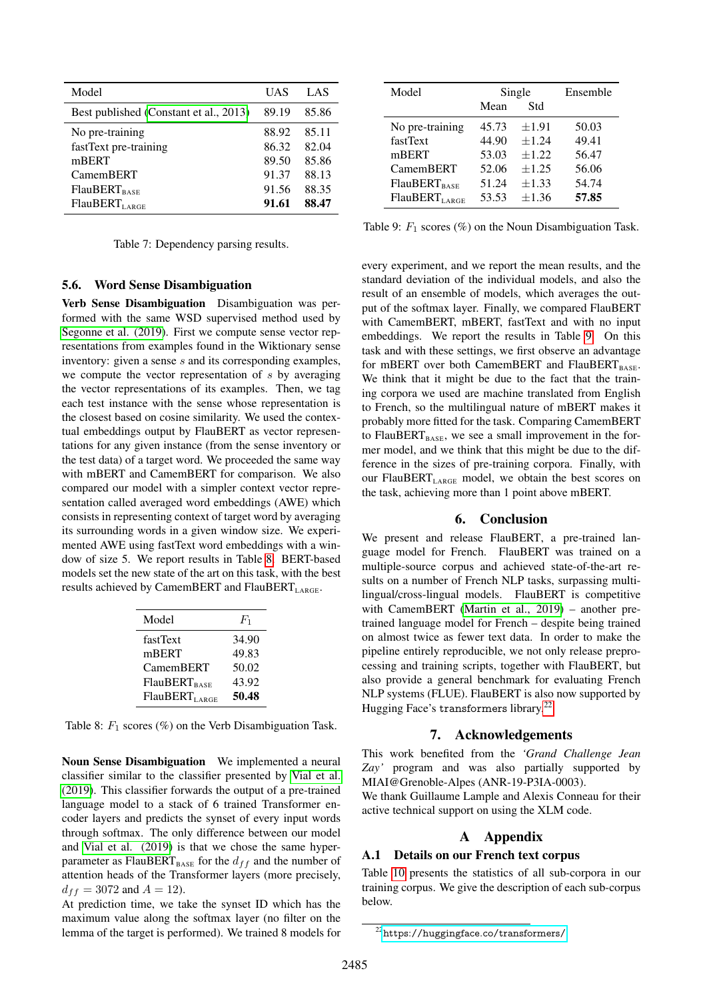<span id="page-6-1"></span>

| Model                                  | UAS   | LAS   |
|----------------------------------------|-------|-------|
| Best published (Constant et al., 2013) | 89.19 | 85.86 |
| No pre-training                        | 88.92 | 85.11 |
| fastText pre-training                  | 86.32 | 82.04 |
| mBERT                                  | 89.50 | 85.86 |
| <b>CamemBERT</b>                       | 91.37 | 88.13 |
| $FlauBERT_{RAST}$                      | 91.56 | 88.35 |
| FlauBERT <sub>1</sub>                  | 91.61 | 88.47 |

Table 7: Dependency parsing results.

# 5.6. Word Sense Disambiguation

Verb Sense Disambiguation Disambiguation was performed with the same WSD supervised method used by [Segonne et al. \(2019\)](#page-10-19). First we compute sense vector representations from examples found in the Wiktionary sense inventory: given a sense s and its corresponding examples, we compute the vector representation of s by averaging the vector representations of its examples. Then, we tag each test instance with the sense whose representation is the closest based on cosine similarity. We used the contextual embeddings output by FlauBERT as vector representations for any given instance (from the sense inventory or the test data) of a target word. We proceeded the same way with mBERT and CamemBERT for comparison. We also compared our model with a simpler context vector representation called averaged word embeddings (AWE) which consists in representing context of target word by averaging its surrounding words in a given window size. We experimented AWE using fastText word embeddings with a window of size 5. We report results in Table [8.](#page-6-2) BERT-based models set the new state of the art on this task, with the best results achieved by CamemBERT and FlauBERT<sub>LARGE</sub>.

<span id="page-6-2"></span>

| Model                           | $F_1$ |
|---------------------------------|-------|
| fastText                        | 34.90 |
| mBERT                           | 49.83 |
| CamemBERT                       | 50.02 |
| <b>FlauBERT</b> <sub>BASE</sub> | 43.92 |
| FlauBERT <sub>LARGE</sub>       | 50.48 |

Table 8:  $F_1$  scores (%) on the Verb Disambiguation Task.

Noun Sense Disambiguation We implemented a neural classifier similar to the classifier presented by [Vial et al.](#page-10-22) [\(2019\)](#page-10-22). This classifier forwards the output of a pre-trained language model to a stack of 6 trained Transformer encoder layers and predicts the synset of every input words through softmax. The only difference between our model and [Vial et al. \(2019\)](#page-10-22) is that we chose the same hyperparameter as FlauBERT<sub>BASE</sub> for the  $d_{ff}$  and the number of attention heads of the Transformer layers (more precisely,  $d_{ff} = 3072$  and  $A = 12$ ).

At prediction time, we take the synset ID which has the maximum value along the softmax layer (no filter on the lemma of the target is performed). We trained 8 models for

<span id="page-6-3"></span>

| Model                     | Single |            | Ensemble |
|---------------------------|--------|------------|----------|
|                           | Mean   | Std        |          |
| No pre-training           | 45.73  | ±1.91      | 50.03    |
| fastText                  | 44.90  | $+1.24$    | 49.41    |
| mBERT                     | 53.03  | $+1.22$    | 56.47    |
| <b>CamemBERT</b>          | 52.06  | $+1.25$    | 56.06    |
| $FlauBERT_{RAST}$         | 51.24  | $\pm 1.33$ | 54.74    |
| FlauBERT <sub>LARGE</sub> | 53.53  | ±1.36      | 57.85    |

Table 9:  $F_1$  scores (%) on the Noun Disambiguation Task.

every experiment, and we report the mean results, and the standard deviation of the individual models, and also the result of an ensemble of models, which averages the output of the softmax layer. Finally, we compared FlauBERT with CamemBERT, mBERT, fastText and with no input embeddings. We report the results in Table [9.](#page-6-3) On this task and with these settings, we first observe an advantage for mBERT over both CamemBERT and FlauBERT<sub>BASE</sub>. We think that it might be due to the fact that the training corpora we used are machine translated from English to French, so the multilingual nature of mBERT makes it probably more fitted for the task. Comparing CamemBERT to FlauBERT<sub>BASE</sub>, we see a small improvement in the former model, and we think that this might be due to the difference in the sizes of pre-training corpora. Finally, with our FlauBERT<sub>LARGE</sub> model, we obtain the best scores on the task, achieving more than 1 point above mBERT.

# 6. Conclusion

We present and release FlauBERT, a pre-trained language model for French. FlauBERT was trained on a multiple-source corpus and achieved state-of-the-art results on a number of French NLP tasks, surpassing multilingual/cross-lingual models. FlauBERT is competitive with CamemBERT [\(Martin et al., 2019\)](#page-9-4) – another pretrained language model for French – despite being trained on almost twice as fewer text data. In order to make the pipeline entirely reproducible, we not only release preprocessing and training scripts, together with FlauBERT, but also provide a general benchmark for evaluating French NLP systems (FLUE). FlauBERT is also now supported by Hugging Face's transformers library.[22](#page-0-0)

#### 7. Acknowledgements

This work benefited from the *'Grand Challenge Jean Zay'* program and was also partially supported by MIAI@Grenoble-Alpes (ANR-19-P3IA-0003).

We thank Guillaume Lample and Alexis Conneau for their active technical support on using the XLM code.

# A Appendix

#### <span id="page-6-0"></span>A.1 Details on our French text corpus

Table [10](#page-7-0) presents the statistics of all sub-corpora in our training corpus. We give the description of each sub-corpus below.

<sup>22</sup><https://huggingface.co/transformers/>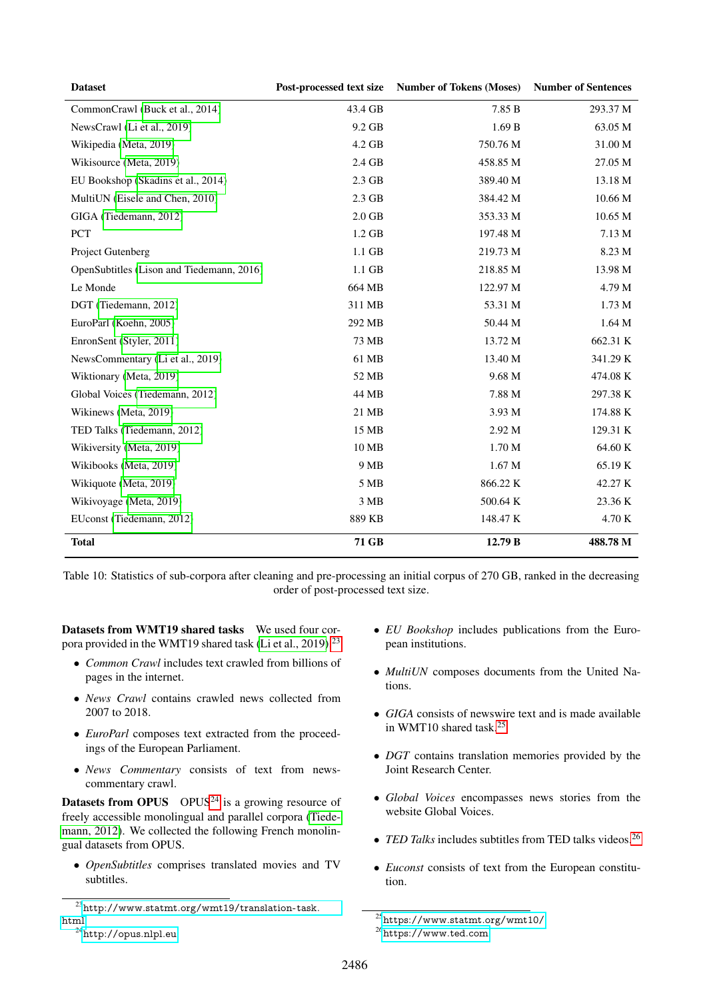<span id="page-7-0"></span>

| <b>Dataset</b>                            | Post-processed text size | <b>Number of Tokens (Moses)</b> | <b>Number of Sentences</b> |
|-------------------------------------------|--------------------------|---------------------------------|----------------------------|
| CommonCrawl (Buck et al., 2014)           | 43.4 GB                  | 7.85 B                          | 293.37 M                   |
| NewsCrawl (Li et al., 2019)               | 9.2 GB                   | 1.69B                           | 63.05 M                    |
| Wikipedia (Meta, 2019)                    | 4.2 GB                   | 750.76 M                        | 31.00 M                    |
| Wikisource (Meta, 2019)                   | 2.4 GB                   | 458.85 M                        | 27.05 M                    |
| EU Bookshop (Skadins et al., 2014)        | $2.3$ GB                 | 389.40 M                        | 13.18 M                    |
| MultiUN (Eisele and Chen, 2010)           | $2.3$ GB                 | 384.42 M                        | 10.66 M                    |
| GIGA (Tiedemann, 2012)                    | $2.0\;\mathrm{GB}$       | 353.33 M                        | $10.65\ \mathrm{M}$        |
| <b>PCT</b>                                | $1.2$ GB                 | 197.48 M                        | 7.13 M                     |
| Project Gutenberg                         | $1.1$ GB                 | 219.73 M                        | 8.23 M                     |
| OpenSubtitles (Lison and Tiedemann, 2016) | $1.1$ GB                 | 218.85 M                        | 13.98 M                    |
| Le Monde                                  | 664 MB                   | 122.97 M                        | 4.79 M                     |
| DGT (Tiedemann, 2012)                     | 311 MB                   | 53.31 M                         | 1.73 M                     |
| EuroParl (Koehn, 2005)                    | 292 MB                   | 50.44 M                         | 1.64 <sub>M</sub>          |
| EnronSent (Styler, 2011)                  | 73 MB                    | 13.72 M                         | 662.31 K                   |
| NewsCommentary (Li et al., 2019)          | 61 MB                    | 13.40 M                         | 341.29 K                   |
| Wiktionary (Meta, 2019)                   | 52 MB                    | 9.68 M                          | 474.08 K                   |
| Global Voices (Tiedemann, 2012)           | 44 MB                    | 7.88 M                          | 297.38 K                   |
| Wikinews (Meta, 2019)                     | 21 MB                    | 3.93 M                          | 174.88 K                   |
| TED Talks (Tiedemann, 2012)               | 15 MB                    | 2.92 M                          | 129.31 K                   |
| Wikiversity (Meta, 2019)                  | 10 MB                    | 1.70 M                          | 64.60 K                    |
| Wikibooks (Meta, 2019)                    | 9 MB                     | 1.67 <sub>M</sub>               | 65.19K                     |
| Wikiquote (Meta, 2019)                    | 5 MB                     | 866.22 K                        | 42.27 K                    |
| Wikivoyage (Meta, 2019)                   | 3 MB                     | 500.64 K                        | 23.36 K                    |
| EUconst (Tiedemann, 2012)                 | 889 KB                   | 148.47 K                        | 4.70 K                     |
| <b>Total</b>                              | 71 GB                    | 12.79 B                         | 488.78 M                   |

Table 10: Statistics of sub-corpora after cleaning and pre-processing an initial corpus of 270 GB, ranked in the decreasing order of post-processed text size.

Datasets from WMT19 shared tasks We used four cor-pora provided in the WMT19 shared task [\(Li et al., 2019\)](#page-9-11).<sup>[23](#page-0-0)</sup>

- *Common Crawl* includes text crawled from billions of pages in the internet.
- *News Crawl* contains crawled news collected from 2007 to 2018.
- *EuroParl* composes text extracted from the proceedings of the European Parliament.
- *News Commentary* consists of text from newscommentary crawl.

**Datasets from OPUS** OPUS<sup>[24](#page-0-0)</sup> is a growing resource of freely accessible monolingual and parallel corpora [\(Tiede](#page-10-13)[mann, 2012\)](#page-10-13). We collected the following French monolingual datasets from OPUS.

• *OpenSubtitles* comprises translated movies and TV subtitles.

- *EU Bookshop* includes publications from the European institutions.
- *MultiUN* composes documents from the United Nations.
- *GIGA* consists of newswire text and is made available in WMT10 shared task.[25](#page-0-0)
- *DGT* contains translation memories provided by the Joint Research Center.
- *Global Voices* encompasses news stories from the website Global Voices.
- *TED Talks* includes subtitles from TED talks videos.<sup>[26](#page-0-0)</sup>
- *Euconst* consists of text from the European constitution.

<sup>23</sup>[http://www.statmt.org/wmt19/translation-task.](http://www.statmt.org/wmt19/translation-task.html) [html](http://www.statmt.org/wmt19/translation-task.html)

<sup>24</sup><http://opus.nlpl.eu>

<sup>25</sup><https://www.statmt.org/wmt10/> <sup>26</sup><https://www.ted.com>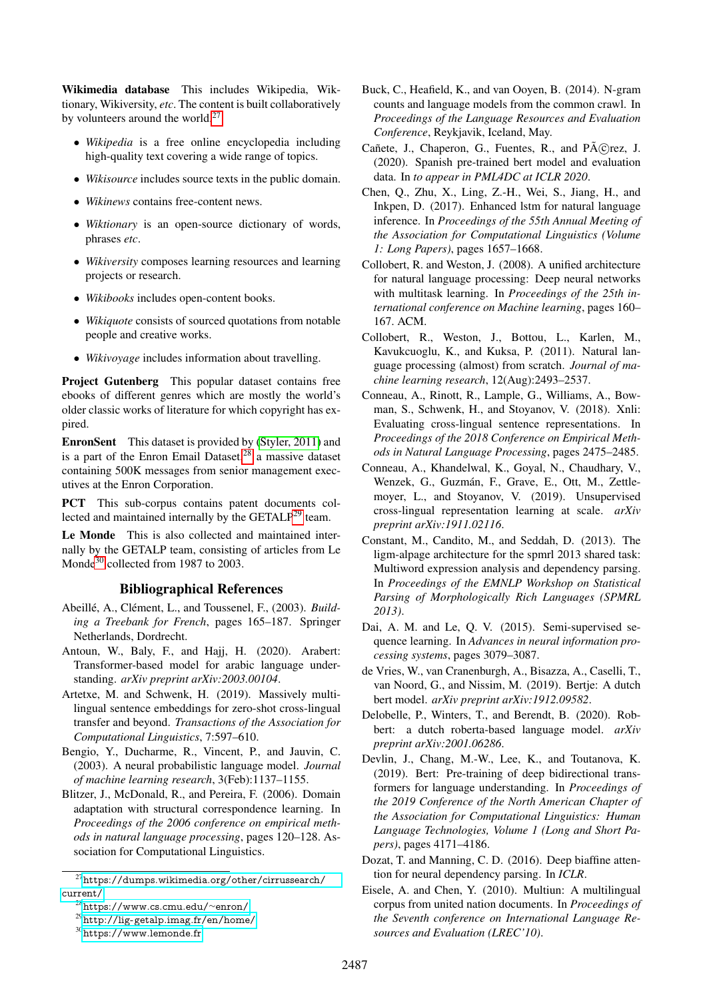Wikimedia database This includes Wikipedia, Wiktionary, Wikiversity, *etc*. The content is built collaboratively by volunteers around the world. $27$ 

- *Wikipedia* is a free online encyclopedia including high-quality text covering a wide range of topics.
- *Wikisource* includes source texts in the public domain.
- *Wikinews* contains free-content news.
- *Wiktionary* is an open-source dictionary of words, phrases *etc*.
- *Wikiversity* composes learning resources and learning projects or research.
- *Wikibooks* includes open-content books.
- *Wikiquote* consists of sourced quotations from notable people and creative works.
- *Wikivoyage* includes information about travelling.

Project Gutenberg This popular dataset contains free ebooks of different genres which are mostly the world's older classic works of literature for which copyright has expired.

EnronSent This dataset is provided by [\(Styler, 2011\)](#page-10-24) and is a part of the Enron Email Dataset,  $28$  a massive dataset containing 500K messages from senior management executives at the Enron Corporation.

PCT This sub-corpus contains patent documents col-lected and maintained internally by the GETALP<sup>[29](#page-0-0)</sup> team.

Le Monde This is also collected and maintained internally by the GETALP team, consisting of articles from Le Monde<sup>[30](#page-0-0)</sup> collected from 1987 to 2003.

#### Bibliographical References

- <span id="page-8-13"></span>Abeillé, A., Clément, L., and Toussenel, F., (2003). *Building a Treebank for French*, pages 165–187. Springer Netherlands, Dordrecht.
- <span id="page-8-6"></span>Antoun, W., Baly, F., and Hajj, H. (2020). Arabert: Transformer-based model for arabic language understanding. *arXiv preprint arXiv:2003.00104*.
- <span id="page-8-10"></span>Artetxe, M. and Schwenk, H. (2019). Massively multilingual sentence embeddings for zero-shot cross-lingual transfer and beyond. *Transactions of the Association for Computational Linguistics*, 7:597–610.
- <span id="page-8-3"></span>Bengio, Y., Ducharme, R., Vincent, P., and Jauvin, C. (2003). A neural probabilistic language model. *Journal of machine learning research*, 3(Feb):1137–1155.
- <span id="page-8-11"></span>Blitzer, J., McDonald, R., and Pereira, F. (2006). Domain adaptation with structural correspondence learning. In *Proceedings of the 2006 conference on empirical methods in natural language processing*, pages 120–128. Association for Computational Linguistics.
- <span id="page-8-17"></span>Buck, C., Heafield, K., and van Ooyen, B. (2014). N-gram counts and language models from the common crawl. In *Proceedings of the Language Resources and Evaluation Conference*, Reykjavik, Iceland, May.
- <span id="page-8-9"></span>Cañete, J., Chaperon, G., Fuentes, R., and Pérez, J. (2020). Spanish pre-trained bert model and evaluation data. In *to appear in PML4DC at ICLR 2020*.
- <span id="page-8-14"></span>Chen, Q., Zhu, X., Ling, Z.-H., Wei, S., Jiang, H., and Inkpen, D. (2017). Enhanced lstm for natural language inference. In *Proceedings of the 55th Annual Meeting of the Association for Computational Linguistics (Volume 1: Long Papers)*, pages 1657–1668.
- <span id="page-8-4"></span>Collobert, R. and Weston, J. (2008). A unified architecture for natural language processing: Deep neural networks with multitask learning. In *Proceedings of the 25th international conference on Machine learning*, pages 160– 167. ACM.
- <span id="page-8-5"></span>Collobert, R., Weston, J., Bottou, L., Karlen, M., Kavukcuoglu, K., and Kuksa, P. (2011). Natural language processing (almost) from scratch. *Journal of machine learning research*, 12(Aug):2493–2537.
- <span id="page-8-12"></span>Conneau, A., Rinott, R., Lample, G., Williams, A., Bowman, S., Schwenk, H., and Stoyanov, V. (2018). Xnli: Evaluating cross-lingual sentence representations. In *Proceedings of the 2018 Conference on Empirical Methods in Natural Language Processing*, pages 2475–2485.
- <span id="page-8-2"></span>Conneau, A., Khandelwal, K., Goyal, N., Chaudhary, V., Wenzek, G., Guzmán, F., Grave, E., Ott, M., Zettlemoyer, L., and Stoyanov, V. (2019). Unsupervised cross-lingual representation learning at scale. *arXiv preprint arXiv:1911.02116*.
- <span id="page-8-16"></span>Constant, M., Candito, M., and Seddah, D. (2013). The ligm-alpage architecture for the spmrl 2013 shared task: Multiword expression analysis and dependency parsing. In *Proceedings of the EMNLP Workshop on Statistical Parsing of Morphologically Rich Languages (SPMRL 2013)*.
- <span id="page-8-0"></span>Dai, A. M. and Le, Q. V. (2015). Semi-supervised sequence learning. In *Advances in neural information processing systems*, pages 3079–3087.
- <span id="page-8-7"></span>de Vries, W., van Cranenburgh, A., Bisazza, A., Caselli, T., van Noord, G., and Nissim, M. (2019). Bertje: A dutch bert model. *arXiv preprint arXiv:1912.09582*.
- <span id="page-8-8"></span>Delobelle, P., Winters, T., and Berendt, B. (2020). Robbert: a dutch roberta-based language model. *arXiv preprint arXiv:2001.06286*.
- <span id="page-8-1"></span>Devlin, J., Chang, M.-W., Lee, K., and Toutanova, K. (2019). Bert: Pre-training of deep bidirectional transformers for language understanding. In *Proceedings of the 2019 Conference of the North American Chapter of the Association for Computational Linguistics: Human Language Technologies, Volume 1 (Long and Short Papers)*, pages 4171–4186.
- <span id="page-8-15"></span>Dozat, T. and Manning, C. D. (2016). Deep biaffine attention for neural dependency parsing. In *ICLR*.
- <span id="page-8-18"></span>Eisele, A. and Chen, Y. (2010). Multiun: A multilingual corpus from united nation documents. In *Proceedings of the Seventh conference on International Language Resources and Evaluation (LREC'10)*.

 $^{27}\rm{https://dumps.wikipedia.org/other/cirrussearch/}$ [current/](https://dumps.wikimedia.org/other/cirrussearch/current/)

<sup>28</sup>[https://www.cs.cmu.edu/](https://www.cs.cmu.edu/~enron/)∼enron/

<sup>29</sup><http://lig-getalp.imag.fr/en/home/>

<sup>30</sup><https://www.lemonde.fr>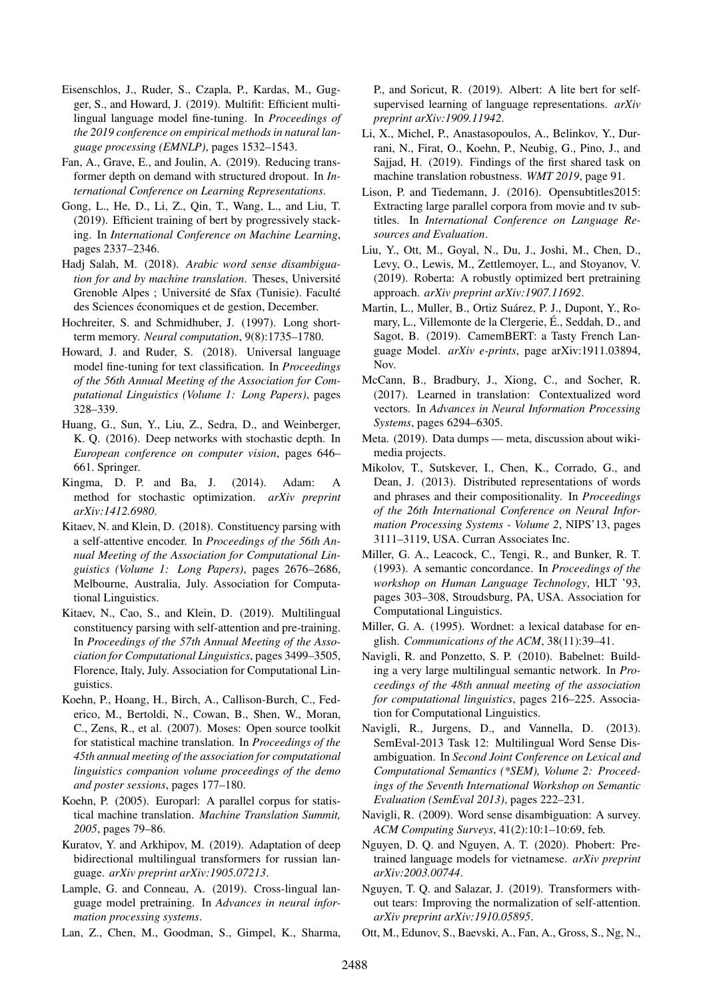- <span id="page-9-6"></span>Eisenschlos, J., Ruder, S., Czapla, P., Kardas, M., Gugger, S., and Howard, J. (2019). Multifit: Efficient multilingual language model fine-tuning. In *Proceedings of the 2019 conference on empirical methods in natural language processing (EMNLP)*, pages 1532–1543.
- <span id="page-9-16"></span>Fan, A., Grave, E., and Joulin, A. (2019). Reducing transformer depth on demand with structured dropout. In *International Conference on Learning Representations*.
- <span id="page-9-18"></span>Gong, L., He, D., Li, Z., Qin, T., Wang, L., and Liu, T. (2019). Efficient training of bert by progressively stacking. In *International Conference on Machine Learning*, pages 2337–2346.
- <span id="page-9-22"></span>Hadj Salah, M. (2018). *Arabic word sense disambiguation for and by machine translation*. Theses, Universite´ Grenoble Alpes ; Université de Sfax (Tunisie). Faculté des Sciences économiques et de gestion, December.
- <span id="page-9-5"></span>Hochreiter, S. and Schmidhuber, J. (1997). Long shortterm memory. *Neural computation*, 9(8):1735–1780.
- <span id="page-9-0"></span>Howard, J. and Ruder, S. (2018). Universal language model fine-tuning for text classification. In *Proceedings of the 56th Annual Meeting of the Association for Computational Linguistics (Volume 1: Long Papers)*, pages 328–339.
- <span id="page-9-17"></span>Huang, G., Sun, Y., Liu, Z., Sedra, D., and Weinberger, K. Q. (2016). Deep networks with stochastic depth. In *European conference on computer vision*, pages 646– 661. Springer.
- <span id="page-9-14"></span>Kingma, D. P. and Ba, J. (2014). Adam: A method for stochastic optimization. *arXiv preprint arXiv:1412.6980*.
- <span id="page-9-26"></span>Kitaev, N. and Klein, D. (2018). Constituency parsing with a self-attentive encoder. In *Proceedings of the 56th Annual Meeting of the Association for Computational Linguistics (Volume 1: Long Papers)*, pages 2676–2686, Melbourne, Australia, July. Association for Computational Linguistics.
- <span id="page-9-27"></span>Kitaev, N., Cao, S., and Klein, D. (2019). Multilingual constituency parsing with self-attention and pre-training. In *Proceedings of the 57th Annual Meeting of the Association for Computational Linguistics*, pages 3499–3505, Florence, Italy, July. Association for Computational Linguistics.
- <span id="page-9-13"></span>Koehn, P., Hoang, H., Birch, A., Callison-Burch, C., Federico, M., Bertoldi, N., Cowan, B., Shen, W., Moran, C., Zens, R., et al. (2007). Moses: Open source toolkit for statistical machine translation. In *Proceedings of the 45th annual meeting of the association for computational linguistics companion volume proceedings of the demo and poster sessions*, pages 177–180.
- <span id="page-9-29"></span>Koehn, P. (2005). Europarl: A parallel corpus for statistical machine translation. *Machine Translation Summit, 2005*, pages 79–86.
- <span id="page-9-9"></span>Kuratov, Y. and Arkhipov, M. (2019). Adaptation of deep bidirectional multilingual transformers for russian language. *arXiv preprint arXiv:1905.07213*.
- <span id="page-9-3"></span>Lample, G. and Conneau, A. (2019). Cross-lingual language model pretraining. In *Advances in neural information processing systems*.
- <span id="page-9-7"></span>Lan, Z., Chen, M., Goodman, S., Gimpel, K., Sharma,

P., and Soricut, R. (2019). Albert: A lite bert for selfsupervised learning of language representations. *arXiv preprint arXiv:1909.11942*.

- <span id="page-9-11"></span>Li, X., Michel, P., Anastasopoulos, A., Belinkov, Y., Durrani, N., Firat, O., Koehn, P., Neubig, G., Pino, J., and Sajjad, H. (2019). Findings of the first shared task on machine translation robustness. *WMT 2019*, page 91.
- <span id="page-9-28"></span>Lison, P. and Tiedemann, J. (2016). Opensubtitles2015: Extracting large parallel corpora from movie and tv subtitles. In *International Conference on Language Resources and Evaluation*.
- <span id="page-9-2"></span>Liu, Y., Ott, M., Goyal, N., Du, J., Joshi, M., Chen, D., Levy, O., Lewis, M., Zettlemoyer, L., and Stoyanov, V. (2019). Roberta: A robustly optimized bert pretraining approach. *arXiv preprint arXiv:1907.11692*.
- <span id="page-9-4"></span>Martin, L., Muller, B., Ortiz Suárez, P. J., Dupont, Y., Romary, L., Villemonte de la Clergerie, E., Seddah, D., and ´ Sagot, B. (2019). CamemBERT: a Tasty French Language Model. *arXiv e-prints*, page arXiv:1911.03894, Nov.
- <span id="page-9-8"></span>McCann, B., Bradbury, J., Xiong, C., and Socher, R. (2017). Learned in translation: Contextualized word vectors. In *Advances in Neural Information Processing Systems*, pages 6294–6305.
- <span id="page-9-12"></span>Meta. (2019). Data dumps — meta, discussion about wikimedia projects.
- <span id="page-9-1"></span>Mikolov, T., Sutskever, I., Chen, K., Corrado, G., and Dean, J. (2013). Distributed representations of words and phrases and their compositionality. In *Proceedings of the 26th International Conference on Neural Information Processing Systems - Volume 2*, NIPS'13, pages 3111–3119, USA. Curran Associates Inc.
- <span id="page-9-23"></span>Miller, G. A., Leacock, C., Tengi, R., and Bunker, R. T. (1993). A semantic concordance. In *Proceedings of the workshop on Human Language Technology*, HLT '93, pages 303–308, Stroudsburg, PA, USA. Association for Computational Linguistics.
- <span id="page-9-20"></span>Miller, G. A. (1995). Wordnet: a lexical database for english. *Communications of the ACM*, 38(11):39–41.
- <span id="page-9-21"></span>Navigli, R. and Ponzetto, S. P. (2010). Babelnet: Building a very large multilingual semantic network. In *Proceedings of the 48th annual meeting of the association for computational linguistics*, pages 216–225. Association for Computational Linguistics.
- <span id="page-9-19"></span>Navigli, R., Jurgens, D., and Vannella, D. (2013). SemEval-2013 Task 12: Multilingual Word Sense Disambiguation. In *Second Joint Conference on Lexical and Computational Semantics (\*SEM), Volume 2: Proceedings of the Seventh International Workshop on Semantic Evaluation (SemEval 2013)*, pages 222–231.
- <span id="page-9-25"></span>Navigli, R. (2009). Word sense disambiguation: A survey. *ACM Computing Surveys*, 41(2):10:1–10:69, feb.
- <span id="page-9-10"></span>Nguyen, D. Q. and Nguyen, A. T. (2020). Phobert: Pretrained language models for vietnamese. *arXiv preprint arXiv:2003.00744*.
- <span id="page-9-15"></span>Nguyen, T. Q. and Salazar, J. (2019). Transformers without tears: Improving the normalization of self-attention. *arXiv preprint arXiv:1910.05895*.
- <span id="page-9-24"></span>Ott, M., Edunov, S., Baevski, A., Fan, A., Gross, S., Ng, N.,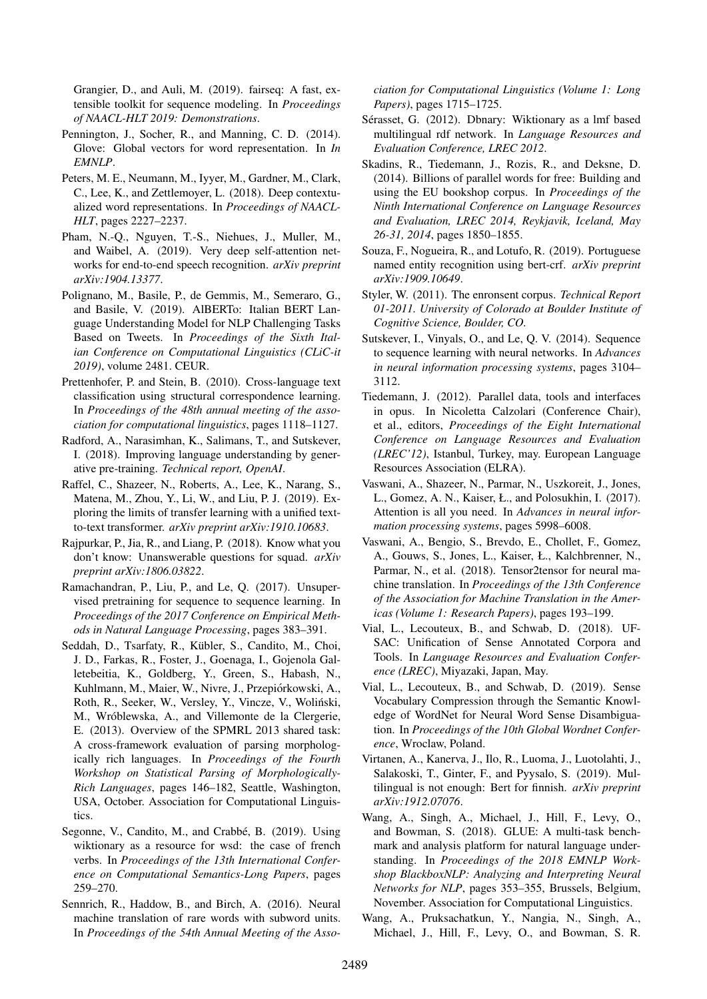Grangier, D., and Auli, M. (2019). fairseq: A fast, extensible toolkit for sequence modeling. In *Proceedings of NAACL-HLT 2019: Demonstrations*.

- <span id="page-10-2"></span>Pennington, J., Socher, R., and Manning, C. D. (2014). Glove: Global vectors for word representation. In *In EMNLP*.
- <span id="page-10-0"></span>Peters, M. E., Neumann, M., Iyyer, M., Gardner, M., Clark, C., Lee, K., and Zettlemoyer, L. (2018). Deep contextualized word representations. In *Proceedings of NAACL-HLT*, pages 2227–2237.
- <span id="page-10-15"></span>Pham, N.-Q., Nguyen, T.-S., Niehues, J., Muller, M., and Waibel, A. (2019). Very deep self-attention networks for end-to-end speech recognition. *arXiv preprint arXiv:1904.13377*.
- <span id="page-10-10"></span>Polignano, M., Basile, P., de Gemmis, M., Semeraro, G., and Basile, V. (2019). AlBERTo: Italian BERT Language Understanding Model for NLP Challenging Tasks Based on Tweets. In *Proceedings of the Sixth Italian Conference on Computational Linguistics (CLiC-it 2019)*, volume 2481. CEUR.
- <span id="page-10-17"></span>Prettenhofer, P. and Stein, B. (2010). Cross-language text classification using structural correspondence learning. In *Proceedings of the 48th annual meeting of the association for computational linguistics*, pages 1118–1127.
- <span id="page-10-1"></span>Radford, A., Narasimhan, K., Salimans, T., and Sutskever, I. (2018). Improving language understanding by generative pre-training. *Technical report, OpenAI*.
- <span id="page-10-7"></span>Raffel, C., Shazeer, N., Roberts, A., Lee, K., Narang, S., Matena, M., Zhou, Y., Li, W., and Liu, P. J. (2019). Exploring the limits of transfer learning with a unified textto-text transformer. *arXiv preprint arXiv:1910.10683*.
- <span id="page-10-8"></span>Rajpurkar, P., Jia, R., and Liang, P. (2018). Know what you don't know: Unanswerable questions for squad. *arXiv preprint arXiv:1806.03822*.
- <span id="page-10-3"></span>Ramachandran, P., Liu, P., and Le, Q. (2017). Unsupervised pretraining for sequence to sequence learning. In *Proceedings of the 2017 Conference on Empirical Methods in Natural Language Processing*, pages 383–391.
- <span id="page-10-18"></span>Seddah, D., Tsarfaty, R., Kübler, S., Candito, M., Choi, J. D., Farkas, R., Foster, J., Goenaga, I., Gojenola Galletebeitia, K., Goldberg, Y., Green, S., Habash, N., Kuhlmann, M., Maier, W., Nivre, J., Przepiórkowski, A., Roth, R., Seeker, W., Versley, Y., Vincze, V., Wolinski, ´ M., Wróblewska, A., and Villemonte de la Clergerie, E. (2013). Overview of the SPMRL 2013 shared task: A cross-framework evaluation of parsing morphologically rich languages. In *Proceedings of the Fourth Workshop on Statistical Parsing of Morphologically-Rich Languages*, pages 146–182, Seattle, Washington, USA, October. Association for Computational Linguistics.
- <span id="page-10-19"></span>Segonne, V., Candito, M., and Crabbé, B. (2019). Using wiktionary as a resource for wsd: the case of french verbs. In *Proceedings of the 13th International Conference on Computational Semantics-Long Papers*, pages 259–270.
- <span id="page-10-16"></span>Sennrich, R., Haddow, B., and Birch, A. (2016). Neural machine translation of rare words with subword units. In *Proceedings of the 54th Annual Meeting of the Asso-*

*ciation for Computational Linguistics (Volume 1: Long Papers)*, pages 1715–1725.

- <span id="page-10-20"></span>Sérasset, G. (2012). Dbnary: Wiktionary as a lmf based multilingual rdf network. In *Language Resources and Evaluation Conference, LREC 2012*.
- <span id="page-10-23"></span>Skadins, R., Tiedemann, J., Rozis, R., and Deksne, D. (2014). Billions of parallel words for free: Building and using the EU bookshop corpus. In *Proceedings of the Ninth International Conference on Language Resources and Evaluation, LREC 2014, Reykjavik, Iceland, May 26-31, 2014*, pages 1850–1855.
- <span id="page-10-11"></span>Souza, F., Nogueira, R., and Lotufo, R. (2019). Portuguese named entity recognition using bert-crf. *arXiv preprint arXiv:1909.10649*.
- <span id="page-10-24"></span>Styler, W. (2011). The enronsent corpus. *Technical Report 01-2011. University of Colorado at Boulder Institute of Cognitive Science, Boulder, CO.*
- <span id="page-10-6"></span>Sutskever, I., Vinyals, O., and Le, Q. V. (2014). Sequence to sequence learning with neural networks. In *Advances in neural information processing systems*, pages 3104– 3112.
- <span id="page-10-13"></span>Tiedemann, J. (2012). Parallel data, tools and interfaces in opus. In Nicoletta Calzolari (Conference Chair), et al., editors, *Proceedings of the Eight International Conference on Language Resources and Evaluation (LREC'12)*, Istanbul, Turkey, may. European Language Resources Association (ELRA).
- <span id="page-10-4"></span>Vaswani, A., Shazeer, N., Parmar, N., Uszkoreit, J., Jones, L., Gomez, A. N., Kaiser, Ł., and Polosukhin, I. (2017). Attention is all you need. In *Advances in neural information processing systems*, pages 5998–6008.
- <span id="page-10-14"></span>Vaswani, A., Bengio, S., Brevdo, E., Chollet, F., Gomez, A., Gouws, S., Jones, L., Kaiser, Ł., Kalchbrenner, N., Parmar, N., et al. (2018). Tensor2tensor for neural machine translation. In *Proceedings of the 13th Conference of the Association for Machine Translation in the Americas (Volume 1: Research Papers)*, pages 193–199.
- <span id="page-10-21"></span>Vial, L., Lecouteux, B., and Schwab, D. (2018). UF-SAC: Unification of Sense Annotated Corpora and Tools. In *Language Resources and Evaluation Conference (LREC)*, Miyazaki, Japan, May.
- <span id="page-10-22"></span>Vial, L., Lecouteux, B., and Schwab, D. (2019). Sense Vocabulary Compression through the Semantic Knowledge of WordNet for Neural Word Sense Disambiguation. In *Proceedings of the 10th Global Wordnet Conference*, Wroclaw, Poland.
- <span id="page-10-9"></span>Virtanen, A., Kanerva, J., Ilo, R., Luoma, J., Luotolahti, J., Salakoski, T., Ginter, F., and Pyysalo, S. (2019). Multilingual is not enough: Bert for finnish. *arXiv preprint arXiv:1912.07076*.
- <span id="page-10-5"></span>Wang, A., Singh, A., Michael, J., Hill, F., Levy, O., and Bowman, S. (2018). GLUE: A multi-task benchmark and analysis platform for natural language understanding. In *Proceedings of the 2018 EMNLP Workshop BlackboxNLP: Analyzing and Interpreting Neural Networks for NLP*, pages 353–355, Brussels, Belgium, November. Association for Computational Linguistics.
- <span id="page-10-12"></span>Wang, A., Pruksachatkun, Y., Nangia, N., Singh, A., Michael, J., Hill, F., Levy, O., and Bowman, S. R.